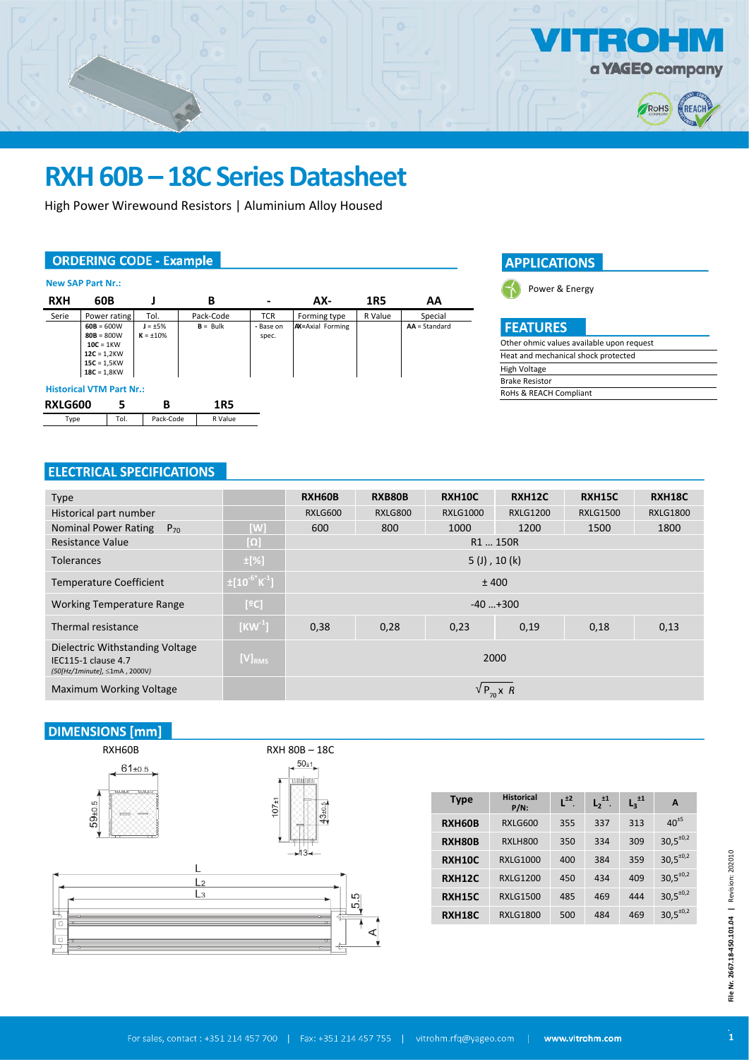

## **RXH 60B – 18C Series Datasheet**

High Power Wirewound Resistors | Aluminium Alloy Housed

#### **ORDERING CODE - Example**

| <b>New SAP Part Nr.:</b>        |                                                                                                |                                 |            |                          |                          |         |                 |  |
|---------------------------------|------------------------------------------------------------------------------------------------|---------------------------------|------------|--------------------------|--------------------------|---------|-----------------|--|
| <b>RXH</b>                      | 60B                                                                                            |                                 | в          | $\overline{\phantom{0}}$ | AX-                      | 1R5     | AA              |  |
| Serie                           | Power rating                                                                                   | Tol.                            | Pack-Code  | <b>TCR</b>               | Forming type             | R Value | Special         |  |
|                                 | $60B = 600W$<br>$80B = 800W$<br>$10C = 1KW$<br>$12C = 1,2KW$<br>$15C = 1,5KW$<br>$18C = 1,8KW$ | $J = \pm 5\%$<br>$K = \pm 10\%$ | $B = Bulk$ | - Base on<br>spec.       | <b>AX</b> =Axial Forming |         | $AA = Standard$ |  |
| <b>Historical VTM Part Nr.:</b> |                                                                                                |                                 |            |                          |                          |         |                 |  |
| <b>RXLG600</b>                  | 5                                                                                              | В                               | 1R5        |                          |                          |         |                 |  |
| Type                            | Tol.                                                                                           | Pack-Code                       | R Value    |                          |                          |         |                 |  |





## **FEATURES**

| Other ohmic values available upon request |
|-------------------------------------------|
| Heat and mechanical shock protected       |
| High Voltage                              |
| <b>Brake Resistor</b>                     |
| RoHs & REACH Compliant                    |
|                                           |

### **ELECTRICAL SPECIFICATIONS**

| <b>Type</b>                                                                             |                                  | RXH60B          | RXB80B         | <b>RXH10C</b>   | RXH12C          | <b>RXH15C</b>   | RXH18C          |  |
|-----------------------------------------------------------------------------------------|----------------------------------|-----------------|----------------|-----------------|-----------------|-----------------|-----------------|--|
| Historical part number                                                                  |                                  | RXLG600         | <b>RXLG800</b> | <b>RXLG1000</b> | <b>RXLG1200</b> | <b>RXLG1500</b> | <b>RXLG1800</b> |  |
| <b>Nominal Power Rating</b><br>$P_{70}$                                                 | [W]                              | 600             | 800            | 1000            | 1200            | 1500            | 1800            |  |
| <b>Resistance Value</b>                                                                 | [מ]                              | R1  150R        |                |                 |                 |                 |                 |  |
| <b>Tolerances</b>                                                                       | $\pm$ [%]                        | $5$ (J), 10 (k) |                |                 |                 |                 |                 |  |
| <b>Temperature Coefficient</b>                                                          | $\pm [10^{-6}$ K <sup>-1</sup> ] | ±400            |                |                 |                 |                 |                 |  |
| <b>Working Temperature Range</b>                                                        | [°C]                             | $-40+300$       |                |                 |                 |                 |                 |  |
| Thermal resistance                                                                      | $[KW^1]$                         | 0,38            | 0,28           | 0,23            | 0,19            | 0,18            | 0,13            |  |
| Dielectric Withstanding Voltage<br>IEC115-1 clause 4.7<br>(50[Hz/1minute], ≤1mA, 2000V) | $[V]_{RMS}$                      | 2000            |                |                 |                 |                 |                 |  |
| Maximum Working Voltage                                                                 |                                  | $V P_{\pi} X R$ |                |                 |                 |                 |                 |  |

## **DIMENSIONS** [mm]



| <b>Type</b>   | <b>Historical</b><br>$P/N$ : | $L^{\pm 2}$ | $L_2^{\pm 1}$ . | $L_3^{\pm 1}$ | A                |
|---------------|------------------------------|-------------|-----------------|---------------|------------------|
| RXH60B        | <b>RXLG600</b>               | 355         | 337             | 313           | $40^{15}$        |
| RXH80B        | <b>RXLH800</b>               | 350         | 334             | 309           | $30,5^{\pm0,2}$  |
| <b>RXH10C</b> | <b>RXLG1000</b>              | 400         | 384             | 359           | $30,5^{\pm0,2}$  |
| <b>RXH12C</b> | <b>RXLG1200</b>              | 450         | 434             | 409           | $30.5^{\pm 0.2}$ |
| <b>RXH15C</b> | <b>RXLG1500</b>              | 485         | 469             | 444           | $30,5^{\pm0,2}$  |
| <b>RXH18C</b> | <b>RXLG1800</b>              | 500         | 484             | 469           | $30,5^{\pm 0.2}$ |